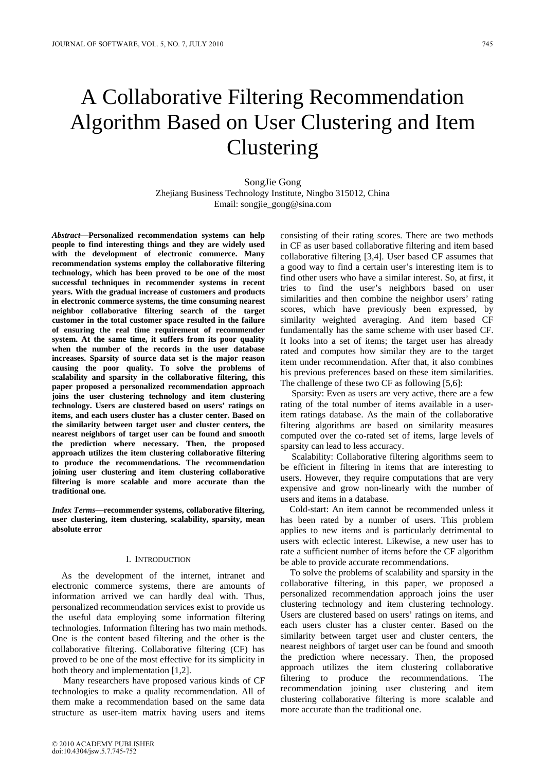# A Collaborative Filtering Recommendation Algorithm Based on User Clustering and Item **Clustering**

SongJie Gong Zhejiang Business Technology Institute, Ningbo 315012, China Email: songjie\_gong@sina.com

*Abstract***—Personalized recommendation systems can help people to find interesting things and they are widely used with the development of electronic commerce. Many recommendation systems employ the collaborative filtering technology, which has been proved to be one of the most successful techniques in recommender systems in recent years. With the gradual increase of customers and products in electronic commerce systems, the time consuming nearest neighbor collaborative filtering search of the target customer in the total customer space resulted in the failure of ensuring the real time requirement of recommender system. At the same time, it suffers from its poor quality when the number of the records in the user database increases. Sparsity of source data set is the major reason causing the poor quality. To solve the problems of scalability and sparsity in the collaborative filtering, this paper proposed a personalized recommendation approach joins the user clustering technology and item clustering technology. Users are clustered based on users' ratings on items, and each users cluster has a cluster center. Based on the similarity between target user and cluster centers, the nearest neighbors of target user can be found and smooth the prediction where necessary. Then, the proposed approach utilizes the item clustering collaborative filtering to produce the recommendations. The recommendation joining user clustering and item clustering collaborative filtering is more scalable and more accurate than the traditional one.** 

*Index Terms***—recommender systems, collaborative filtering, user clustering, item clustering, scalability, sparsity, mean absolute error** 

# I. INTRODUCTION

As the development of the internet, intranet and electronic commerce systems, there are amounts of information arrived we can hardly deal with. Thus, personalized recommendation services exist to provide us the useful data employing some information filtering technologies. Information filtering has two main methods. One is the content based filtering and the other is the collaborative filtering. Collaborative filtering (CF) has proved to be one of the most effective for its simplicity in both theory and implementation [1,2].

Many researchers have proposed various kinds of CF technologies to make a quality recommendation. All of them make a recommendation based on the same data structure as user-item matrix having users and items consisting of their rating scores. There are two methods in CF as user based collaborative filtering and item based collaborative filtering [3,4]. User based CF assumes that a good way to find a certain user's interesting item is to find other users who have a similar interest. So, at first, it tries to find the user's neighbors based on user similarities and then combine the neighbor users' rating scores, which have previously been expressed, by similarity weighted averaging. And item based CF fundamentally has the same scheme with user based CF. It looks into a set of items; the target user has already rated and computes how similar they are to the target item under recommendation. After that, it also combines his previous preferences based on these item similarities. The challenge of these two CF as following [5,6]:

Sparsity: Even as users are very active, there are a few rating of the total number of items available in a useritem ratings database. As the main of the collaborative filtering algorithms are based on similarity measures computed over the co-rated set of items, large levels of sparsity can lead to less accuracy.

Scalability: Collaborative filtering algorithms seem to be efficient in filtering in items that are interesting to users. However, they require computations that are very expensive and grow non-linearly with the number of users and items in a database.

Cold-start: An item cannot be recommended unless it has been rated by a number of users. This problem applies to new items and is particularly detrimental to users with eclectic interest. Likewise, a new user has to rate a sufficient number of items before the CF algorithm be able to provide accurate recommendations.

To solve the problems of scalability and sparsity in the collaborative filtering, in this paper, we proposed a personalized recommendation approach joins the user clustering technology and item clustering technology. Users are clustered based on users' ratings on items, and each users cluster has a cluster center. Based on the similarity between target user and cluster centers, the nearest neighbors of target user can be found and smooth the prediction where necessary. Then, the proposed approach utilizes the item clustering collaborative filtering to produce the recommendations. The recommendation joining user clustering and item clustering collaborative filtering is more scalable and more accurate than the traditional one.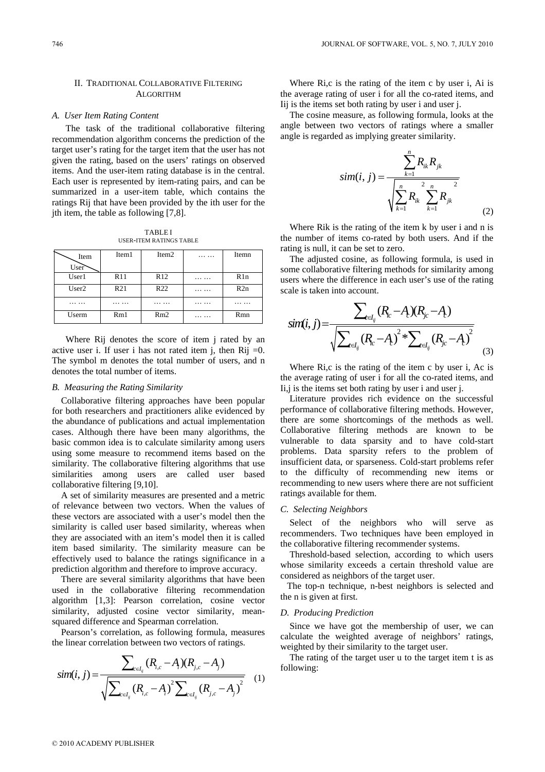## II. TRADITIONAL COLLABORATIVE FILTERING ALGORITHM

## *A. User Item Rating Content*

The task of the traditional collaborative filtering recommendation algorithm concerns the prediction of the target user's rating for the target item that the user has not given the rating, based on the users' ratings on observed items. And the user-item rating database is in the central. Each user is represented by item-rating pairs, and can be summarized in a user-item table, which contains the ratings Rij that have been provided by the ith user for the jth item, the table as following [7,8].

TABLE I USER-ITEM RATINGS TABLE

| Item  | Item1 | Item <sub>2</sub> | . | Itemn |
|-------|-------|-------------------|---|-------|
| User  |       |                   |   |       |
| User1 | R11   | R12               | . | R1n   |
| User2 | R21   | R <sub>22</sub>   | . | R2n   |
| .     | .     | .                 | . | .     |
| Userm | Rm1   | Rm2               | . | Rmn   |

Where Rij denotes the score of item i rated by an active user i. If user i has not rated item j, then  $Rij = 0$ . The symbol m denotes the total number of users, and n denotes the total number of items.

# *B. Measuring the Rating Similarity*

Collaborative filtering approaches have been popular for both researchers and practitioners alike evidenced by the abundance of publications and actual implementation cases. Although there have been many algorithms, the basic common idea is to calculate similarity among users using some measure to recommend items based on the similarity. The collaborative filtering algorithms that use similarities among users are called user based collaborative filtering [9,10].

A set of similarity measures are presented and a metric of relevance between two vectors. When the values of these vectors are associated with a user's model then the similarity is called user based similarity, whereas when they are associated with an item's model then it is called item based similarity. The similarity measure can be effectively used to balance the ratings significance in a prediction algorithm and therefore to improve accuracy.

There are several similarity algorithms that have been used in the collaborative filtering recommendation algorithm [1,3]: Pearson correlation, cosine vector similarity, adjusted cosine vector similarity, meansquared difference and Spearman correlation.

Pearson's correlation, as following formula, measures the linear correlation between two vectors of ratings.

$$
sim(i, j) = \frac{\sum_{c \in I_{ij}} (R_{i,c} - A_j)(R_{j,c} - A_j)}{\sqrt{\sum_{c \in I_{ij}} (R_{i,c} - A_j)^2 \sum_{c \in I_{ij}} (R_{j,c} - A_j)^2}}
$$
(1)

Where Ri,c is the rating of the item c by user i, Ai is the average rating of user i for all the co-rated items, and Iij is the items set both rating by user i and user j.

The cosine measure, as following formula, looks at the angle between two vectors of ratings where a smaller angle is regarded as implying greater similarity.

$$
sim(i, j) = \frac{\sum_{k=1}^{n} R_{ik} R_{jk}}{\sqrt{\sum_{k=1}^{n} R_{ik}^2 \sum_{k=1}^{n} R_{jk}^2}}
$$
(2)

Where Rik is the rating of the item k by user i and n is the number of items co-rated by both users. And if the rating is null, it can be set to zero.

The adjusted cosine, as following formula, is used in some collaborative filtering methods for similarity among users where the difference in each user's use of the rating scale is taken into account.

$$
sim(i,j) = \frac{\sum_{c_{ij}} (R_{ic} - A_c)(R_{jc} - A_c)}{\sqrt{\sum_{c_{ij}} (R_{ic} - A_c)^2 * \sum_{c_{ij}} (R_{jc} - A_c)^2}}
$$
(3)

Where Ri,c is the rating of the item c by user i, Ac is the average rating of user i for all the co-rated items, and Ii,j is the items set both rating by user i and user j.

Literature provides rich evidence on the successful performance of collaborative filtering methods. However, there are some shortcomings of the methods as well. Collaborative filtering methods are known to be vulnerable to data sparsity and to have cold-start problems. Data sparsity refers to the problem of insufficient data, or sparseness. Cold-start problems refer to the difficulty of recommending new items or recommending to new users where there are not sufficient ratings available for them.

#### *C. Selecting Neighbors*

Select of the neighbors who will serve as recommenders. Two techniques have been employed in the collaborative filtering recommender systems.

Threshold-based selection, according to which users whose similarity exceeds a certain threshold value are considered as neighbors of the target user.

 The top-n technique, n-best neighbors is selected and the n is given at first.

# *D. Producing Prediction*

Since we have got the membership of user, we can calculate the weighted average of neighbors' ratings, weighted by their similarity to the target user.

The rating of the target user u to the target item t is as following: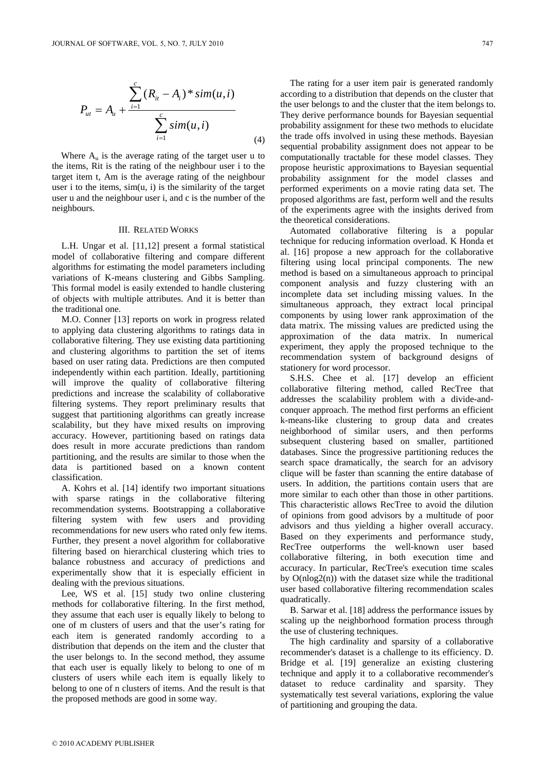$$
P_{ut} = A_u + \frac{\sum_{i=1}^{c} (R_{it} - A_i) * sim(u, i)}{\sum_{i=1}^{c} sim(u, i)}
$$
(4)

Where  $A_u$  is the average rating of the target user u to the items, Rit is the rating of the neighbour user i to the target item t, Am is the average rating of the neighbour user i to the items,  $sim(u, i)$  is the similarity of the target user u and the neighbour user i, and c is the number of the neighbours.

#### III. RELATED WORKS

L.H. Ungar et al. [11,12] present a formal statistical model of collaborative filtering and compare different algorithms for estimating the model parameters including variations of K-means clustering and Gibbs Sampling. This formal model is easily extended to handle clustering of objects with multiple attributes. And it is better than the traditional one.

M.O. Conner [13] reports on work in progress related to applying data clustering algorithms to ratings data in collaborative filtering. They use existing data partitioning and clustering algorithms to partition the set of items based on user rating data. Predictions are then computed independently within each partition. Ideally, partitioning will improve the quality of collaborative filtering predictions and increase the scalability of collaborative filtering systems. They report preliminary results that suggest that partitioning algorithms can greatly increase scalability, but they have mixed results on improving accuracy. However, partitioning based on ratings data does result in more accurate predictions than random partitioning, and the results are similar to those when the data is partitioned based on a known content classification.

A. Kohrs et al. [14] identify two important situations with sparse ratings in the collaborative filtering recommendation systems. Bootstrapping a collaborative filtering system with few users and providing recommendations for new users who rated only few items. Further, they present a novel algorithm for collaborative filtering based on hierarchical clustering which tries to balance robustness and accuracy of predictions and experimentally show that it is especially efficient in dealing with the previous situations.

Lee, WS et al. [15] study two online clustering methods for collaborative filtering. In the first method, they assume that each user is equally likely to belong to one of m clusters of users and that the user's rating for each item is generated randomly according to a distribution that depends on the item and the cluster that the user belongs to. In the second method, they assume that each user is equally likely to belong to one of m clusters of users while each item is equally likely to belong to one of n clusters of items. And the result is that the proposed methods are good in some way.

The rating for a user item pair is generated randomly according to a distribution that depends on the cluster that the user belongs to and the cluster that the item belongs to. They derive performance bounds for Bayesian sequential probability assignment for these two methods to elucidate the trade offs involved in using these methods. Bayesian sequential probability assignment does not appear to be computationally tractable for these model classes. They propose heuristic approximations to Bayesian sequential probability assignment for the model classes and performed experiments on a movie rating data set. The proposed algorithms are fast, perform well and the results of the experiments agree with the insights derived from the theoretical considerations.

Automated collaborative filtering is a popular technique for reducing information overload. K Honda et al. [16] propose a new approach for the collaborative filtering using local principal components. The new method is based on a simultaneous approach to principal component analysis and fuzzy clustering with an incomplete data set including missing values. In the simultaneous approach, they extract local principal components by using lower rank approximation of the data matrix. The missing values are predicted using the approximation of the data matrix. In numerical experiment, they apply the proposed technique to the recommendation system of background designs of stationery for word processor.

S.H.S. Chee et al. [17] develop an efficient collaborative filtering method, called RecTree that addresses the scalability problem with a divide-andconquer approach. The method first performs an efficient k-means-like clustering to group data and creates neighborhood of similar users, and then performs subsequent clustering based on smaller, partitioned databases. Since the progressive partitioning reduces the search space dramatically, the search for an advisory clique will be faster than scanning the entire database of users. In addition, the partitions contain users that are more similar to each other than those in other partitions. This characteristic allows RecTree to avoid the dilution of opinions from good advisors by a multitude of poor advisors and thus yielding a higher overall accuracy. Based on they experiments and performance study, RecTree outperforms the well-known user based collaborative filtering, in both execution time and accuracy. In particular, RecTree's execution time scales by  $O(n \log_2(n))$  with the dataset size while the traditional user based collaborative filtering recommendation scales quadratically.

B. Sarwar et al. [18] address the performance issues by scaling up the neighborhood formation process through the use of clustering techniques.

The high cardinality and sparsity of a collaborative recommender's dataset is a challenge to its efficiency. D. Bridge et al. [19] generalize an existing clustering technique and apply it to a collaborative recommender's dataset to reduce cardinality and sparsity. They systematically test several variations, exploring the value of partitioning and grouping the data.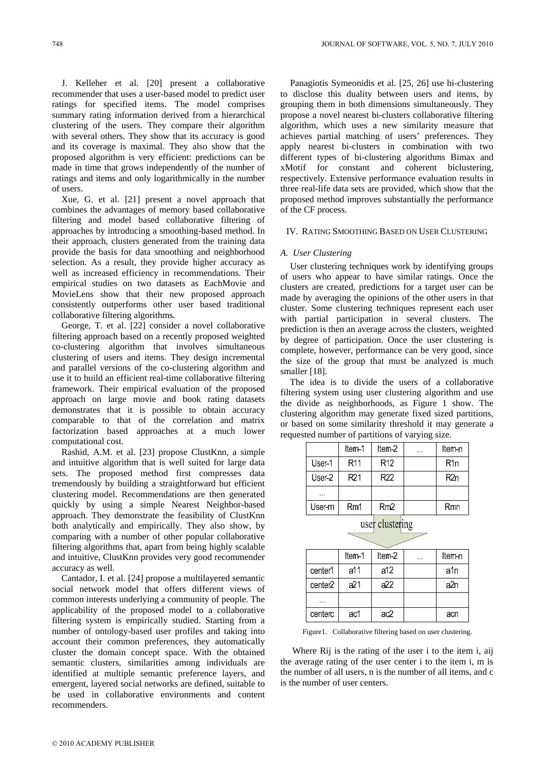J. Kelleher et al. [20] present a collaborative recommender that uses a user-based model to predict user ratings for specified items. The model comprises summary rating information derived from a hierarchical clustering of the users. They compare their algorithm with several others. They show that its accuracy is good and its coverage is maximal. They also show that the proposed algorithm is very efficient: predictions can be made in time that grows independently of the number of ratings and items and only logarithmically in the number of users.

Xue, G. et al. [21] present a novel approach that combines the advantages of memory based collaborative filtering and model based collaborative filtering of approaches by introducing a smoothing-based method. In their approach, clusters generated from the training data provide the basis for data smoothing and neighborhood selection. As a result, they provide higher accuracy as well as increased efficiency in recommendations. Their empirical studies on two datasets as EachMovie and MovieLens show that their new proposed approach consistently outperforms other user based traditional collaborative filtering algorithms.

George, T. et al. [22] consider a novel collaborative filtering approach based on a recently proposed weighted co-clustering algorithm that involves simultaneous clustering of users and items. They design incremental and parallel versions of the co-clustering algorithm and use it to build an efficient real-time collaborative filtering framework. Their empirical evaluation of the proposed approach on large movie and book rating datasets demonstrates that it is possible to obtain accuracy comparable to that of the correlation and matrix factorization based approaches at a much lower computational cost.

Rashid, A.M. et al. [23] propose ClustKnn, a simple and intuitive algorithm that is well suited for large data sets. The proposed method first compresses data tremendously by building a straightforward but efficient clustering model. Recommendations are then generated quickly by using a simple Nearest Neighbor-based approach. They demonstrate the feasibility of ClustKnn both analytically and empirically. They also show, by comparing with a number of other popular collaborative filtering algorithms that, apart from being highly scalable and intuitive, ClustKnn provides very good recommender accuracy as well.

Cantador, I. et al. [24] propose a multilayered semantic social network model that offers different views of common interests underlying a community of people. The applicability of the proposed model to a collaborative filtering system is empirically studied. Starting from a number of ontology-based user profiles and taking into account their common preferences, they automatically cluster the domain concept space. With the obtained semantic clusters, similarities among individuals are identified at multiple semantic preference layers, and emergent, layered social networks are defined, suitable to be used in collaborative environments and content recommenders.

Panagiotis Symeonidis et al. [25, 26] use bi-clustering to disclose this duality between users and items, by grouping them in both dimensions simultaneously. They propose a novel nearest bi-clusters collaborative filtering algorithm, which uses a new similarity measure that achieves partial matching of users' preferences. They apply nearest bi-clusters in combination with two different types of bi-clustering algorithms Bimax and xMotif for constant and coherent biclustering, respectively. Extensive performance evaluation results in three real-life data sets are provided, which show that the proposed method improves substantially the performance of the CF process.

#### IV. RATING SMOOTHING BASED ON USER CLUSTERING

#### *A. User Clustering*

User clustering techniques work by identifying groups of users who appear to have similar ratings. Once the clusters are created, predictions for a target user can be made by averaging the opinions of the other users in that cluster. Some clustering techniques represent each user with partial participation in several clusters. The prediction is then an average across the clusters, weighted by degree of participation. Once the user clustering is complete, however, performance can be very good, since the size of the group that must be analyzed is much smaller [18].

The idea is to divide the users of a collaborative filtering system using user clustering algorithm and use the divide as neighborhoods, as Figure 1 show. The clustering algorithm may generate fixed sized partitions, or based on some similarity threshold it may generate a requested number of partitions of varying size.

|          | Item-1          | Item-2          | $\cdots$ | Item-n           |
|----------|-----------------|-----------------|----------|------------------|
| User-1   | R <sub>11</sub> | R <sub>12</sub> |          | R <sub>1</sub> n |
| User-2   | R21             | R <sub>22</sub> |          | R <sub>2n</sub>  |
| $\cdots$ |                 |                 |          |                  |
| User-m   | Rm1             | Rm2             |          | Rmn              |
|          |                 |                 |          |                  |

user clustering

|                     | Item-1 | Item-2 | . | Item-n |  |  |  |  |
|---------------------|--------|--------|---|--------|--|--|--|--|
| center1             | a11    | a12    |   | a1n    |  |  |  |  |
| center <sub>2</sub> | ล21    | a22    |   | a2n    |  |  |  |  |
| $\cdots$            |        |        |   |        |  |  |  |  |
| centerc             | ac1    | ac2    |   | acn    |  |  |  |  |

Figure1. Collaborative filtering based on user clustering.

 Where Rij is the rating of the user i to the item i, aij the average rating of the user center i to the item i, m is the number of all users, n is the number of all items, and c is the number of user centers.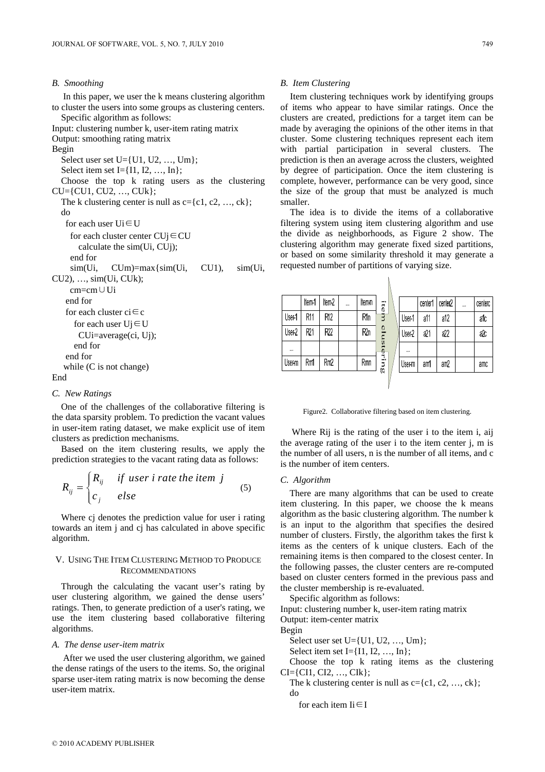# *B. Smoothing*

In this paper, we user the k means clustering algorithm to cluster the users into some groups as clustering centers. Specific algorithm as follows:

```
Input: clustering number k, user-item rating matrix 
Output: smoothing rating matrix 
Begin 
  Select user set U={U1, U2, …, Um}; 
  Select item set I = \{I1, I2, ..., In\};Choose the top k rating users as the clustering 
CU={CU1, CU2, …, CUk}; 
  The k clustering center is null as c = \{c1, c2, ..., ck\};
   do 
   for each user Ui \in U for each cluster center CUj∈CU 
       calculate the sim(Ui, CUj); 
      end for 
    sim(Ui, CUm)=max{sim(Ui, CU1), sim(Ui,
CU2), …, sim(Ui, CUk); 
    cm=cm∪Ui 
   end for 
   for each cluster ci\inc
     for each user Uj \in U CUi=average(ci, Uj); 
       end for 
   end for 
    while (C is not change)
```
# End

## *C. New Ratings*

One of the challenges of the collaborative filtering is the data sparsity problem. To prediction the vacant values in user-item rating dataset, we make explicit use of item clusters as prediction mechanisms.

Based on the item clustering results, we apply the prediction strategies to the vacant rating data as follows:

$$
R_{ij} = \begin{cases} R_{ij} & \text{if user i rate the item j} \\ c_j & \text{else} \end{cases}
$$
 (5)

Where cj denotes the prediction value for user i rating towards an item j and cj has calculated in above specific algorithm.

# V. USING THE ITEM CLUSTERING METHOD TO PRODUCE RECOMMENDATIONS

Through the calculating the vacant user's rating by user clustering algorithm, we gained the dense users' ratings. Then, to generate prediction of a user's rating, we use the item clustering based collaborative filtering algorithms.

#### *A. The dense user-item matrix*

After we used the user clustering algorithm, we gained the dense ratings of the users to the items. So, the original sparse user-item rating matrix is now becoming the dense user-item matrix.

#### *B. Item Clustering*

Item clustering techniques work by identifying groups of items who appear to have similar ratings. Once the clusters are created, predictions for a target item can be made by averaging the opinions of the other items in that cluster. Some clustering techniques represent each item with partial participation in several clusters. The prediction is then an average across the clusters, weighted by degree of participation. Once the item clustering is complete, however, performance can be very good, since the size of the group that must be analyzed is much smaller.

The idea is to divide the items of a collaborative filtering system using item clustering algorithm and use the divide as neighborhoods, as Figure 2 show. The clustering algorithm may generate fixed sized partitions, or based on some similarity threshold it may generate a requested number of partitions of varying size.



Figure2. Collaborative filtering based on item clustering.

 Where Rij is the rating of the user i to the item i, aij the average rating of the user i to the item center j, m is the number of all users, n is the number of all items, and c is the number of item centers.

# *C. Algorithm*

There are many algorithms that can be used to create item clustering. In this paper, we choose the k means algorithm as the basic clustering algorithm. The number k is an input to the algorithm that specifies the desired number of clusters. Firstly, the algorithm takes the first k items as the centers of k unique clusters. Each of the remaining items is then compared to the closest center. In the following passes, the cluster centers are re-computed based on cluster centers formed in the previous pass and the cluster membership is re-evaluated.

Specific algorithm as follows:

Input: clustering number k, user-item rating matrix Output: item-center matrix

Begin

do

Select user set U={U1, U2, …, Um};

Select item set I= $\{I1, I2, ..., In\}$ ;

Choose the top k rating items as the clustering CI={CI1, CI2, …, CIk};

The k clustering center is null as  $c = \{c1, c2, ..., ck\}$ ;

```
for each item \mathbf{I} \in \mathbf{I}
```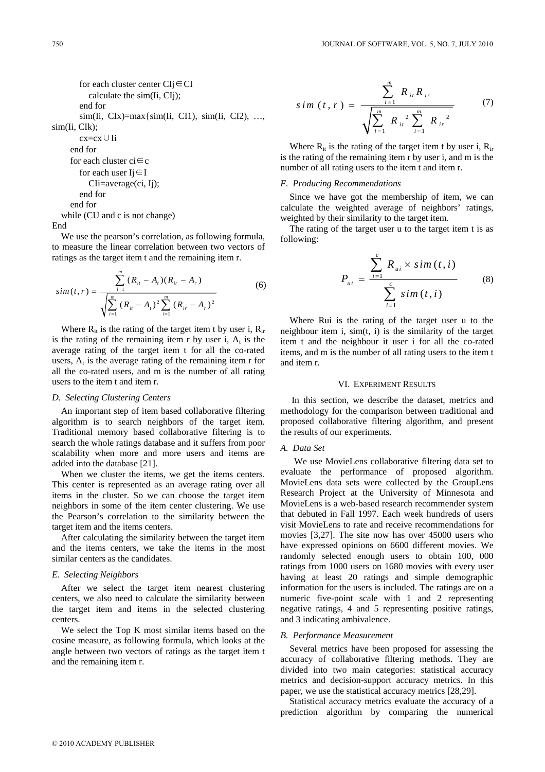for each cluster center CIj∈CI calculate the sim(Ii, CIj); end for  $sim($ Ii, CIx $)=$ max $\{sim($ Ii, CI1 $)$ ,  $sim($ Ii, CI2 $)$ , ... sim(Ii, CIk); cx=cx∪Ii end for for each cluster ci $\in$ c for each user  $I<sub>i</sub> \in I$ CIi=average(ci, Ij); end for end for while (CU and c is not change)

End

We use the pearson's correlation, as following formula, to measure the linear correlation between two vectors of ratings as the target item t and the remaining item r.

$$
sim(t,r) = \frac{\sum_{i=1}^{m} (R_{it} - A_t)(R_{ir} - A_r)}{\sqrt{\sum_{i=1}^{m} (R_{it} - A_t)^2 \sum_{i=1}^{m} (R_{ir} - A_r)^2}}
$$
(6)

Where  $R_{it}$  is the rating of the target item t by user i,  $R_{ir}$ is the rating of the remaining item r by user i,  $A_t$  is the average rating of the target item t for all the co-rated users,  $A_r$  is the average rating of the remaining item r for all the co-rated users, and m is the number of all rating users to the item t and item r.

#### *D. Selecting Clustering Centers*

An important step of item based collaborative filtering algorithm is to search neighbors of the target item. Traditional memory based collaborative filtering is to search the whole ratings database and it suffers from poor scalability when more and more users and items are added into the database [21].

When we cluster the items, we get the items centers. This center is represented as an average rating over all items in the cluster. So we can choose the target item neighbors in some of the item center clustering. We use the Pearson's correlation to the similarity between the target item and the items centers.

After calculating the similarity between the target item and the items centers, we take the items in the most similar centers as the candidates.

#### *E. Selecting Neighbors*

After we select the target item nearest clustering centers, we also need to calculate the similarity between the target item and items in the selected clustering centers.

We select the Top K most similar items based on the cosine measure, as following formula, which looks at the angle between two vectors of ratings as the target item t and the remaining item r.

$$
sim (t, r) = \frac{\sum_{i=1}^{m} R_{it} R_{ir}}{\sqrt{\sum_{i=1}^{m} R_{it}^{2} \sum_{i=1}^{m} R_{ir}^{2}}}
$$
(7)

Where  $R_{it}$  is the rating of the target item t by user i,  $R_{ir}$ is the rating of the remaining item r by user i, and m is the number of all rating users to the item t and item r.

## *F. Producing Recommendations*

Since we have got the membership of item, we can calculate the weighted average of neighbors' ratings, weighted by their similarity to the target item.

The rating of the target user u to the target item t is as following:

$$
P_{ut} = \frac{\sum_{i=1}^{c} R_{ui} \times sim(t, i)}{\sum_{i=1}^{c} sim(t, i)}
$$
 (8)

Where Rui is the rating of the target user u to the neighbour item i, sim(t, i) is the similarity of the target item t and the neighbour it user i for all the co-rated items, and m is the number of all rating users to the item t and item r.

#### VI. EXPERIMENT RESULTS

In this section, we describe the dataset, metrics and methodology for the comparison between traditional and proposed collaborative filtering algorithm, and present the results of our experiments.

#### *A. Data Set*

We use MovieLens collaborative filtering data set to evaluate the performance of proposed algorithm. MovieLens data sets were collected by the GroupLens Research Project at the University of Minnesota and MovieLens is a web-based research recommender system that debuted in Fall 1997. Each week hundreds of users visit MovieLens to rate and receive recommendations for movies [3,27]. The site now has over 45000 users who have expressed opinions on 6600 different movies. We randomly selected enough users to obtain 100, 000 ratings from 1000 users on 1680 movies with every user having at least 20 ratings and simple demographic information for the users is included. The ratings are on a numeric five-point scale with 1 and 2 representing negative ratings, 4 and 5 representing positive ratings, and 3 indicating ambivalence.

#### *B. Performance Measurement*

Several metrics have been proposed for assessing the accuracy of collaborative filtering methods. They are divided into two main categories: statistical accuracy metrics and decision-support accuracy metrics. In this paper, we use the statistical accuracy metrics [28,29].

Statistical accuracy metrics evaluate the accuracy of a prediction algorithm by comparing the numerical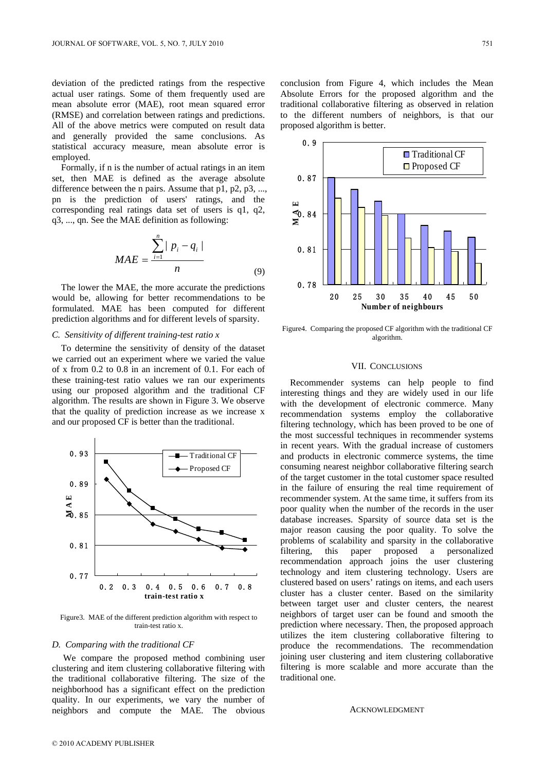deviation of the predicted ratings from the respective actual user ratings. Some of them frequently used are mean absolute error (MAE), root mean squared error (RMSE) and correlation between ratings and predictions. All of the above metrics were computed on result data and generally provided the same conclusions. As statistical accuracy measure, mean absolute error is employed.

Formally, if n is the number of actual ratings in an item set, then MAE is defined as the average absolute difference between the n pairs. Assume that p1, p2, p3, ..., pn is the prediction of users' ratings, and the corresponding real ratings data set of users is q1, q2, q3, ..., qn. See the MAE definition as following:

$$
MAE = \frac{\sum_{i=1}^{n} |p_i - q_i|}{n}
$$
 (9)

The lower the MAE, the more accurate the predictions would be, allowing for better recommendations to be formulated. MAE has been computed for different prediction algorithms and for different levels of sparsity.

# *C. Sensitivity of different training-test ratio x*

To determine the sensitivity of density of the dataset we carried out an experiment where we varied the value of x from 0.2 to 0.8 in an increment of 0.1. For each of these training-test ratio values we ran our experiments using our proposed algorithm and the traditional CF algorithm. The results are shown in Figure 3. We observe that the quality of prediction increase as we increase x and our proposed CF is better than the traditional.



Figure3. MAE of the different prediction algorithm with respect to train-test ratio x.

#### *D. Comparing with the traditional CF*

We compare the proposed method combining user clustering and item clustering collaborative filtering with the traditional collaborative filtering. The size of the neighborhood has a significant effect on the prediction quality. In our experiments, we vary the number of neighbors and compute the MAE. The obvious conclusion from Figure 4, which includes the Mean Absolute Errors for the proposed algorithm and the traditional collaborative filtering as observed in relation to the different numbers of neighbors, is that our proposed algorithm is better.



Figure4. Comparing the proposed CF algorithm with the traditional CF algorithm.

# VII. CONCLUSIONS

Recommender systems can help people to find interesting things and they are widely used in our life with the development of electronic commerce. Many recommendation systems employ the collaborative filtering technology, which has been proved to be one of the most successful techniques in recommender systems in recent years. With the gradual increase of customers and products in electronic commerce systems, the time consuming nearest neighbor collaborative filtering search of the target customer in the total customer space resulted in the failure of ensuring the real time requirement of recommender system. At the same time, it suffers from its poor quality when the number of the records in the user database increases. Sparsity of source data set is the major reason causing the poor quality. To solve the problems of scalability and sparsity in the collaborative filtering, this paper proposed a personalized recommendation approach joins the user clustering technology and item clustering technology. Users are clustered based on users' ratings on items, and each users cluster has a cluster center. Based on the similarity between target user and cluster centers, the nearest neighbors of target user can be found and smooth the prediction where necessary. Then, the proposed approach utilizes the item clustering collaborative filtering to produce the recommendations. The recommendation joining user clustering and item clustering collaborative filtering is more scalable and more accurate than the traditional one.

#### ACKNOWLEDGMENT